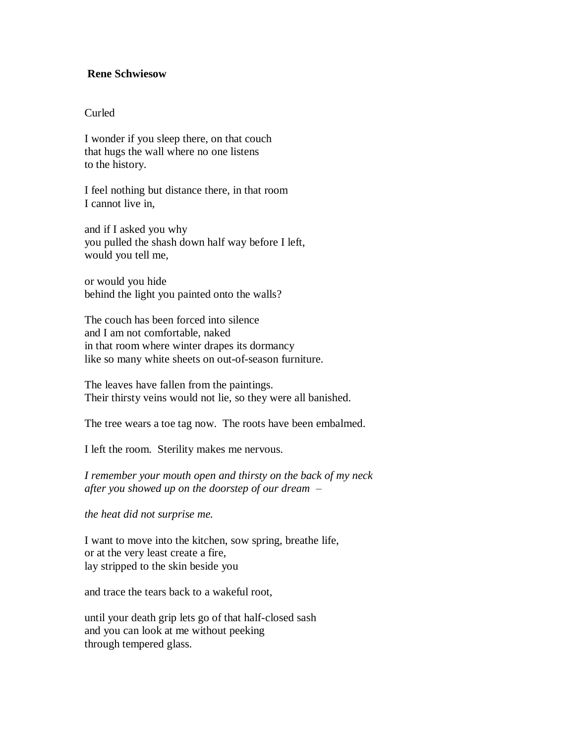## **Rene Schwiesow**

## Curled

I wonder if you sleep there, on that couch that hugs the wall where no one listens to the history.

I feel nothing but distance there, in that room I cannot live in,

and if I asked you why you pulled the shash down half way before I left, would you tell me,

or would you hide behind the light you painted onto the walls?

The couch has been forced into silence and I am not comfortable, naked in that room where winter drapes its dormancy like so many white sheets on out-of-season furniture.

The leaves have fallen from the paintings. Their thirsty veins would not lie, so they were all banished.

The tree wears a toe tag now. The roots have been embalmed.

I left the room. Sterility makes me nervous.

*I remember your mouth open and thirsty on the back of my neck after you showed up on the doorstep of our dream –*

*the heat did not surprise me.*

I want to move into the kitchen, sow spring, breathe life, or at the very least create a fire, lay stripped to the skin beside you

and trace the tears back to a wakeful root,

until your death grip lets go of that half-closed sash and you can look at me without peeking through tempered glass.